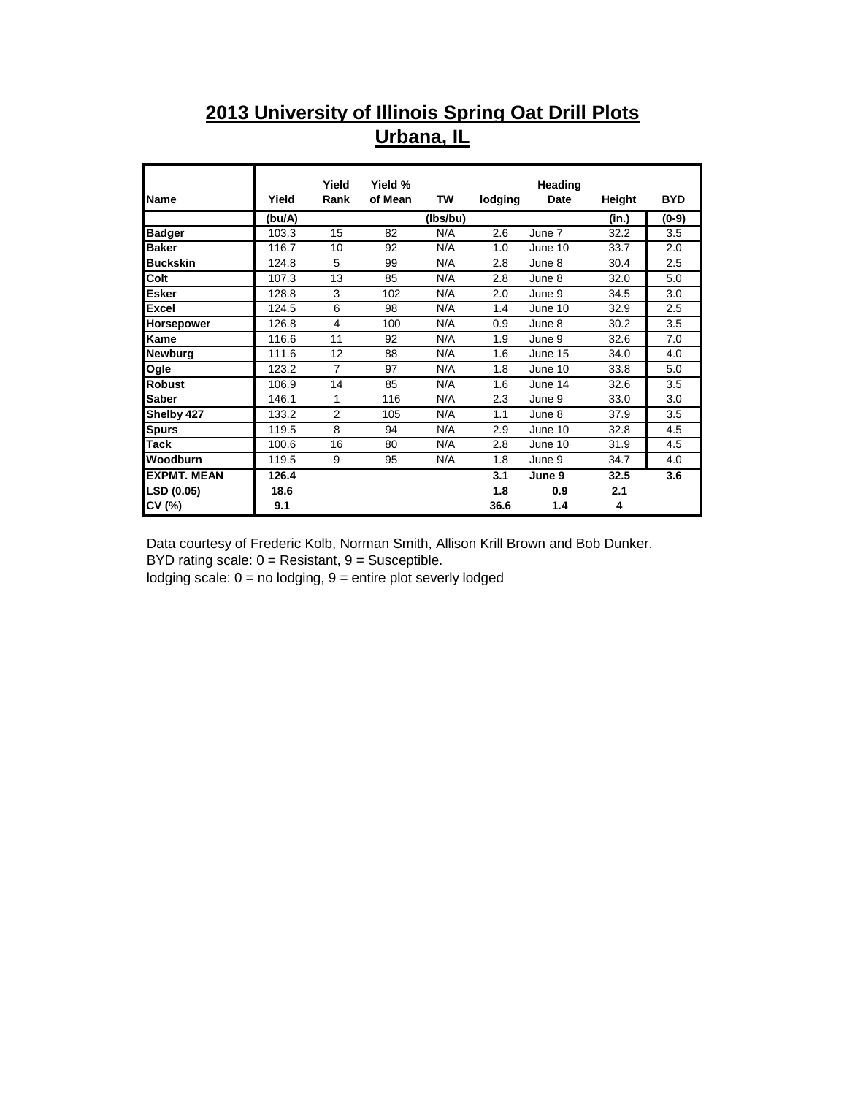## **2013 University of Illinois Spring Oat Drill Plots Urbana, IL**

|                    |        | Yield          | Yield % |          |         | Heading     |        |            |
|--------------------|--------|----------------|---------|----------|---------|-------------|--------|------------|
| Name               | Yield  | Rank           | of Mean | TW       | lodging | <b>Date</b> | Height | <b>BYD</b> |
|                    | (bu/A) |                |         | (Ibs/bu) |         |             | (in.)  | $(0-9)$    |
| <b>Badger</b>      | 103.3  | 15             | 82      | N/A      | 2.6     | June 7      | 32.2   | 3.5        |
| <b>Baker</b>       | 116.7  | 10             | 92      | N/A      | 1.0     | June 10     | 33.7   | 2.0        |
| <b>Buckskin</b>    | 124.8  | 5              | 99      | N/A      | 2.8     | June 8      | 30.4   | 2.5        |
| Colt               | 107.3  | 13             | 85      | N/A      | 2.8     | June 8      | 32.0   | 5.0        |
| <b>Esker</b>       | 128.8  | 3              | 102     | N/A      | 2.0     | June 9      | 34.5   | 3.0        |
| <b>Excel</b>       | 124.5  | 6              | 98      | N/A      | 1.4     | June 10     | 32.9   | 2.5        |
| Horsepower         | 126.8  | 4              | 100     | N/A      | 0.9     | June 8      | 30.2   | 3.5        |
| Kame               | 116.6  | 11             | 92      | N/A      | 1.9     | June 9      | 32.6   | 7.0        |
| <b>Newburg</b>     | 111.6  | 12             | 88      | N/A      | 1.6     | June 15     | 34.0   | 4.0        |
| Ogle               | 123.2  | $\overline{7}$ | 97      | N/A      | 1.8     | June 10     | 33.8   | 5.0        |
| <b>Robust</b>      | 106.9  | 14             | 85      | N/A      | 1.6     | June 14     | 32.6   | 3.5        |
| <b>Saber</b>       | 146.1  | 1              | 116     | N/A      | 2.3     | June 9      | 33.0   | 3.0        |
| Shelby 427         | 133.2  | $\overline{2}$ | 105     | N/A      | 1.1     | June 8      | 37.9   | 3.5        |
| <b>Spurs</b>       | 119.5  | 8              | 94      | N/A      | 2.9     | June 10     | 32.8   | 4.5        |
| <b>Tack</b>        | 100.6  | 16             | 80      | N/A      | 2.8     | June 10     | 31.9   | 4.5        |
| Woodburn           | 119.5  | 9              | 95      | N/A      | 1.8     | June 9      | 34.7   | 4.0        |
| <b>EXPMT. MEAN</b> | 126.4  |                |         |          | 3.1     | June 9      | 32.5   | 3.6        |
| LSD (0.05)         | 18.6   |                |         |          | 1.8     | 0.9         | 2.1    |            |
| CV (%)             | 9.1    |                |         |          | 36.6    | 1.4         | 4      |            |

Data courtesy of Frederic Kolb, Norman Smith, Allison Krill Brown and Bob Dunker. BYD rating scale:  $0 =$  Resistant,  $9 =$  Susceptible.

lodging scale:  $0 =$  no lodging,  $9 =$  entire plot severly lodged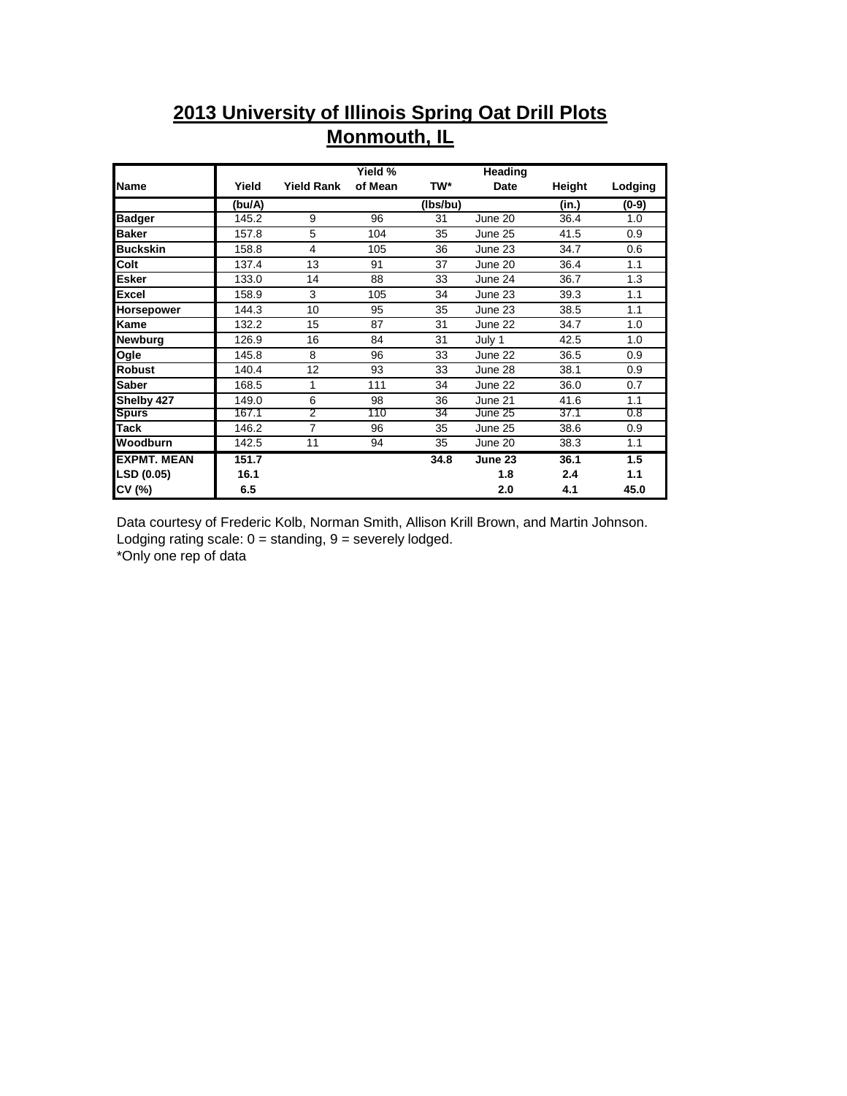## **2013 University of Illinois Spring Oat Drill Plots Monmouth, IL**

|                    |        |                   | Yield % |          | Heading |        |         |
|--------------------|--------|-------------------|---------|----------|---------|--------|---------|
| Name               | Yield  | <b>Yield Rank</b> | of Mean | TW*      | Date    | Height | Lodging |
|                    | (bu/A) |                   |         | (Ibs/bu) |         | (in.)  | (0-9)   |
| <b>Badger</b>      | 145.2  | 9                 | 96      | 31       | June 20 | 36.4   | 1.0     |
| <b>Baker</b>       | 157.8  | 5                 | 104     | 35       | June 25 | 41.5   | 0.9     |
| <b>Buckskin</b>    | 158.8  | 4                 | 105     | 36       | June 23 | 34.7   | 0.6     |
| Colt               | 137.4  | 13                | 91      | 37       | June 20 | 36.4   | 1.1     |
| Esker              | 133.0  | 14                | 88      | 33       | June 24 | 36.7   | 1.3     |
| <b>Excel</b>       | 158.9  | 3                 | 105     | 34       | June 23 | 39.3   | 1.1     |
| Horsepower         | 144.3  | 10                | 95      | 35       | June 23 | 38.5   | 1.1     |
| Kame               | 132.2  | 15                | 87      | 31       | June 22 | 34.7   | 1.0     |
| Newburg            | 126.9  | 16                | 84      | 31       | July 1  | 42.5   | 1.0     |
| Ogle               | 145.8  | 8                 | 96      | 33       | June 22 | 36.5   | 0.9     |
| <b>Robust</b>      | 140.4  | 12                | 93      | 33       | June 28 | 38.1   | 0.9     |
| <b>Saber</b>       | 168.5  | 1                 | 111     | 34       | June 22 | 36.0   | 0.7     |
| Shelby 427         | 149.0  | 6                 | 98      | 36       | June 21 | 41.6   | 1.1     |
| <b>Spurs</b>       | 167.1  | $\overline{2}$    | 110     | 34       | June 25 | 37.1   | 0.8     |
| Tack               | 146.2  | 7                 | 96      | 35       | June 25 | 38.6   | 0.9     |
| Woodburn           | 142.5  | 11                | 94      | 35       | June 20 | 38.3   | 1.1     |
| <b>EXPMT, MEAN</b> | 151.7  |                   |         | 34.8     | June 23 | 36.1   | 1.5     |
| <b>LSD (0.05)</b>  | 16.1   |                   |         |          | 1.8     | 2.4    | 1.1     |
| CV (%)             | 6.5    |                   |         |          | 2.0     | 4.1    | 45.0    |

Data courtesy of Frederic Kolb, Norman Smith, Allison Krill Brown, and Martin Johnson. Lodging rating scale:  $0 =$  standing,  $9 =$  severely lodged.

\*Only one rep of data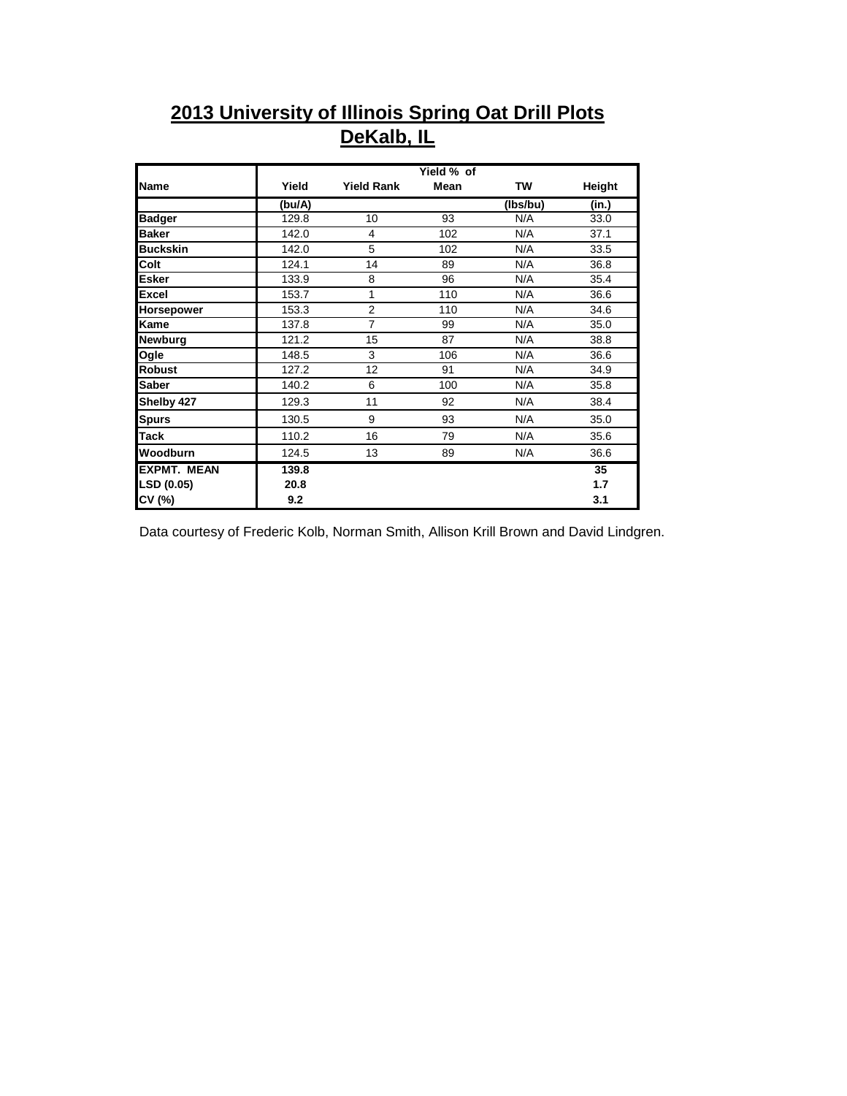## **2013 University of Illinois Spring Oat Drill Plots DeKalb, IL**

|                    |        |                   | Yield % of  |          |               |
|--------------------|--------|-------------------|-------------|----------|---------------|
| <b>Name</b>        | Yield  | <b>Yield Rank</b> | <b>Mean</b> | TW       | <b>Height</b> |
|                    | (bu/A) |                   |             | (Ibs/bu) | (in.)         |
| <b>Badger</b>      | 129.8  | 10                | 93          | N/A      | 33.0          |
| <b>Baker</b>       | 142.0  | 4                 | 102         | N/A      | 37.1          |
| <b>Buckskin</b>    | 142.0  | 5                 | 102         | N/A      | 33.5          |
| Colt               | 124.1  | 14                | 89          | N/A      | 36.8          |
| <b>Esker</b>       | 133.9  | 8                 | 96          | N/A      | 35.4          |
| <b>Excel</b>       | 153.7  | 1                 | 110         | N/A      | 36.6          |
| <b>Horsepower</b>  | 153.3  | $\overline{2}$    | 110         | N/A      | 34.6          |
| <b>Kame</b>        | 137.8  | $\overline{7}$    | 99          | N/A      | 35.0          |
| <b>Newburg</b>     | 121.2  | 15                | 87          | N/A      | 38.8          |
| Ogle               | 148.5  | 3                 | 106         | N/A      | 36.6          |
| <b>Robust</b>      | 127.2  | 12                | 91          | N/A      | 34.9          |
| <b>Saber</b>       | 140.2  | 6                 | 100         | N/A      | 35.8          |
| Shelby 427         | 129.3  | 11                | 92          | N/A      | 38.4          |
| <b>Spurs</b>       | 130.5  | 9                 | 93          | N/A      | 35.0          |
| <b>Tack</b>        | 110.2  | 16                | 79          | N/A      | 35.6          |
| Woodburn           | 124.5  | 13                | 89          | N/A      | 36.6          |
| <b>EXPMT. MEAN</b> | 139.8  |                   |             |          | 35            |
| LSD (0.05)         | 20.8   |                   |             |          | 1.7           |
| CV (%)             | 9.2    |                   |             |          | 3.1           |

Data courtesy of Frederic Kolb, Norman Smith, Allison Krill Brown and David Lindgren.